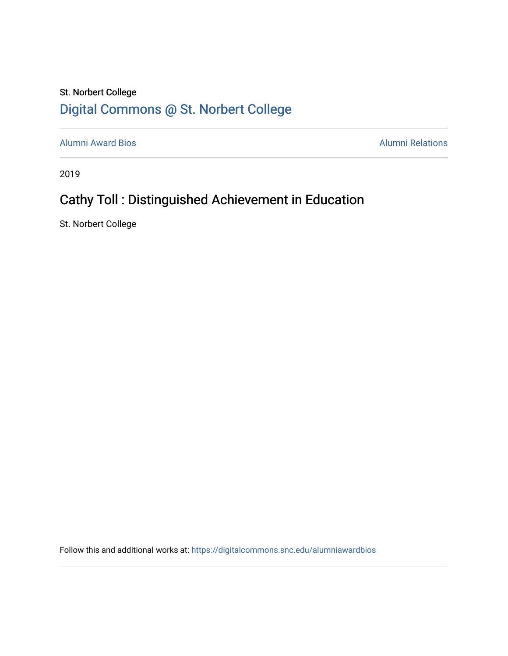### St. Norbert College [Digital Commons @ St. Norbert College](https://digitalcommons.snc.edu/)

[Alumni Award Bios](https://digitalcommons.snc.edu/alumniawardbios) **Alumni Relations** Alumni Relations

2019

## Cathy Toll : Distinguished Achievement in Education

St. Norbert College

Follow this and additional works at: [https://digitalcommons.snc.edu/alumniawardbios](https://digitalcommons.snc.edu/alumniawardbios?utm_source=digitalcommons.snc.edu%2Falumniawardbios%2F64&utm_medium=PDF&utm_campaign=PDFCoverPages)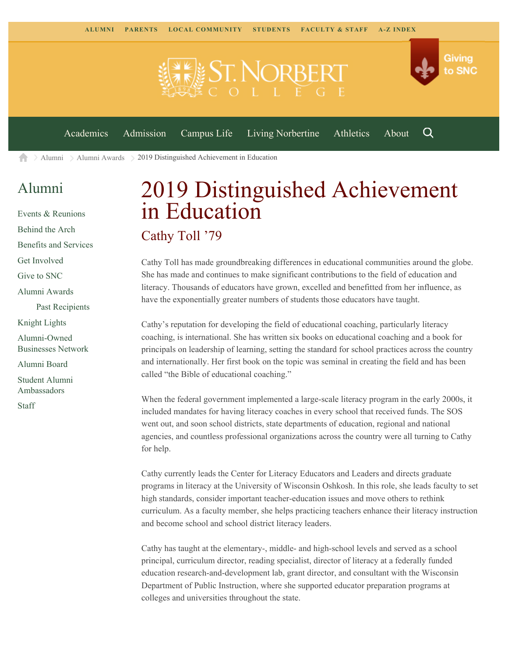**ST NORBE** 



Q

[Academics](https://www.snc.edu/academics) [Admission](https://www.snc.edu/admission) [Campus Life](https://www.snc.edu/campuslife) [Living Norbertine](https://www.snc.edu/livingnorbertine) [Athletics](https://www.snc.edu/athletics) [About](https://www.snc.edu/about)

 $\geq$  [Alumni](https://www.snc.edu/alumni/)  $\geq$  [Alumni Awards](https://www.snc.edu/alumni/awards/)  $\geq$  2019 Distinguished Achievement in Education A

#### [Alumni](https://www.snc.edu/alumni/index.html)

[Events & Reunions](https://www.snc.edu/alumni/event/index.html) [Behind the Arch](https://www.snc.edu/alumni/event/behindthearch/) [Benefits and Services](https://www.snc.edu/alumni/benefits.html) [Get Involved](https://www.snc.edu/alumni/getinvolved.html) [Give to SNC](http://giving.snc.edu/) [Alumni Awards](https://www.snc.edu/alumni/awards/index.html) [Past Recipients](https://www.snc.edu/alumni/awards/recipients.html) [Knight Lights](https://www.snc.edu/alumni/knightlights/index.html) [Alumni-Owned](https://www.snc.edu/alumni/directory/index.html) [Businesses Network](https://www.snc.edu/alumni/directory/index.html) [Alumni Board](https://www.snc.edu/alumni/alumniboard.html) [Student Alumni](https://www.snc.edu/alumni/saa.html) [Ambassadors](https://www.snc.edu/alumni/saa.html) [Staff](https://www.snc.edu/alumni/contactus.html)

# 2019 Distinguished Achievement in Education

#### Cathy Toll '79

Cathy Toll has made groundbreaking differences in educational communities around the globe. She has made and continues to make significant contributions to the field of education and literacy. Thousands of educators have grown, excelled and benefitted from her influence, as have the exponentially greater numbers of students those educators have taught.

Cathy's reputation for developing the field of educational coaching, particularly literacy coaching, is international. She has written six books on educational coaching and a book for principals on leadership of learning, setting the standard for school practices across the country and internationally. Her first book on the topic was seminal in creating the field and has been called "the Bible of educational coaching."

When the federal government implemented a large-scale literacy program in the early 2000s, it included mandates for having literacy coaches in every school that received funds. The SOS went out, and soon school districts, state departments of education, regional and national agencies, and countless professional organizations across the country were all turning to Cathy for help.

Cathy currently leads the Center for Literacy Educators and Leaders and directs graduate programs in literacy at the University of Wisconsin Oshkosh. In this role, she leads faculty to set high standards, consider important teacher-education issues and move others to rethink curriculum. As a faculty member, she helps practicing teachers enhance their literacy instruction and become school and school district literacy leaders.

Cathy has taught at the elementary-, middle- and high-school levels and served as a school principal, curriculum director, reading specialist, director of literacy at a federally funded education research-and-development lab, grant director, and consultant with the Wisconsin Department of Public Instruction, where she supported educator preparation programs at colleges and universities throughout the state.